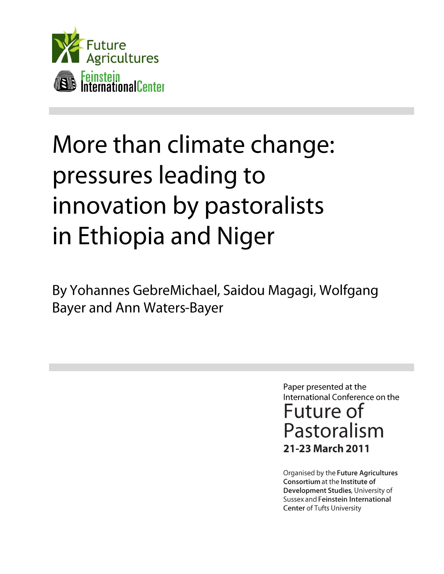

# More than climate change: pressures leading to innovation by pastoralists in Ethiopia and Niger

By Yohannes GebreMichael, Saidou Magagi, Wolfgang **Bayer and Ann Waters-Bayer** 

> Paper presented at the International Conference on the Future of Pastoralism 21-23 March 2011

Organised by the Future Agricultures Consortium at the Institute of Development Studies, University of Sussex and Feinstein International **Center of Tufts University**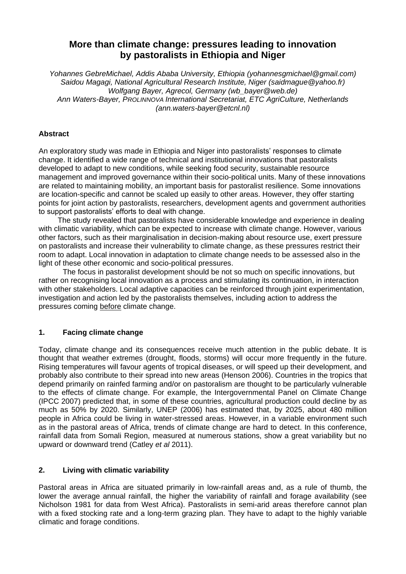# **More than climate change: pressures leading to innovation by pastoralists in Ethiopia and Niger**

*Yohannes GebreMichael, Addis Ababa University, Ethiopia (yohannesgmichael@gmail.com) Saidou Magagi, National Agricultural Research Institute, Niger (saidmague@yahoo.fr) Wolfgang Bayer, Agrecol, Germany (wb\_bayer@web.de) Ann Waters-Bayer, PROLINNOVA International Secretariat, ETC AgriCulture, Netherlands (ann.waters-bayer@etcnl.nl)*

# **Abstract**

An exploratory study was made in Ethiopia and Niger into pastoralists" responses to climate change. It identified a wide range of technical and institutional innovations that pastoralists developed to adapt to new conditions, while seeking food security, sustainable resource management and improved governance within their socio-political units. Many of these innovations are related to maintaining mobility, an important basis for pastoralist resilience. Some innovations are location-specific and cannot be scaled up easily to other areas. However, they offer starting points for joint action by pastoralists, researchers, development agents and government authorities to support pastoralists" efforts to deal with change.

The study revealed that pastoralists have considerable knowledge and experience in dealing with climatic variability, which can be expected to increase with climate change. However, various other factors, such as their marginalisation in decision-making about resource use, exert pressure on pastoralists and increase their vulnerability to climate change, as these pressures restrict their room to adapt. Local innovation in adaptation to climate change needs to be assessed also in the light of these other economic and socio-political pressures.

The focus in pastoralist development should be not so much on specific innovations, but rather on recognising local innovation as a process and stimulating its continuation, in interaction with other stakeholders. Local adaptive capacities can be reinforced through joint experimentation, investigation and action led by the pastoralists themselves, including action to address the pressures coming before climate change.

# **1. Facing climate change**

Today, climate change and its consequences receive much attention in the public debate. It is thought that weather extremes (drought, floods, storms) will occur more frequently in the future. Rising temperatures will favour agents of tropical diseases, or will speed up their development, and probably also contribute to their spread into new areas (Henson 2006). Countries in the tropics that depend primarily on rainfed farming and/or on pastoralism are thought to be particularly vulnerable to the effects of climate change. For example, the Intergovernmental Panel on Climate Change (IPCC 2007) predicted that, in some of these countries, agricultural production could decline by as much as 50% by 2020. Similarly, UNEP (2006) has estimated that, by 2025, about 480 million people in Africa could be living in water-stressed areas. However, in a variable environment such as in the pastoral areas of Africa, trends of climate change are hard to detect. In this conference, rainfall data from Somali Region, measured at numerous stations, show a great variability but no upward or downward trend (Catley *et al* 2011).

# **2. Living with climatic variability**

Pastoral areas in Africa are situated primarily in low-rainfall areas and, as a rule of thumb, the lower the average annual rainfall, the higher the variability of rainfall and forage availability (see Nicholson 1981 for data from West Africa). Pastoralists in semi-arid areas therefore cannot plan with a fixed stocking rate and a long-term grazing plan. They have to adapt to the highly variable climatic and forage conditions.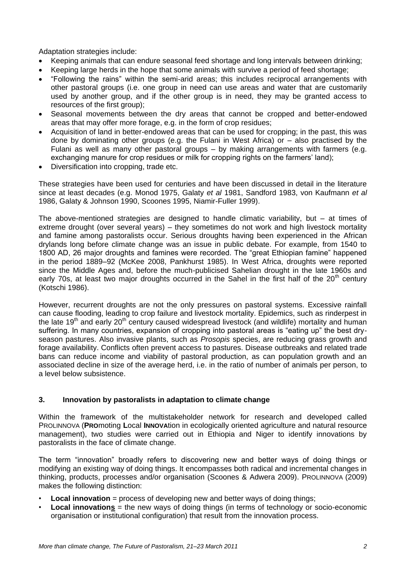Adaptation strategies include:

- Keeping animals that can endure seasonal feed shortage and long intervals between drinking;
- Keeping large herds in the hope that some animals with survive a period of feed shortage;
- "Following the rains" within the semi-arid areas; this includes reciprocal arrangements with other pastoral groups (i.e. one group in need can use areas and water that are customarily used by another group, and if the other group is in need, they may be granted access to resources of the first group):
- Seasonal movements between the dry areas that cannot be cropped and better-endowed areas that may offer more forage, e.g. in the form of crop residues;
- Acquisition of land in better-endowed areas that can be used for cropping; in the past, this was done by dominating other groups (e.g. the Fulani in West Africa) or – also practised by the Fulani as well as many other pastoral groups – by making arrangements with farmers (e.g. exchanging manure for crop residues or milk for cropping rights on the farmers' land);
- Diversification into cropping, trade etc.

These strategies have been used for centuries and have been discussed in detail in the literature since at least decades (e.g. Monod 1975, Galaty *et al* 1981, Sandford 1983, von Kaufmann *et al* 1986, Galaty & Johnson 1990, Scoones 1995, Niamir-Fuller 1999).

The above-mentioned strategies are designed to handle climatic variability, but  $-$  at times of extreme drought (over several years) – they sometimes do not work and high livestock mortality and famine among pastoralists occur. Serious droughts having been experienced in the African drylands long before climate change was an issue in public debate. For example, from 1540 to 1800 AD, 26 major droughts and famines were recorded. The "great Ethiopian famine" happened in the period 1889–92 (McKee 2008, Pankhurst 1985). In West Africa, droughts were reported since the Middle Ages and, before the much-publicised Sahelian drought in the late 1960s and early 70s, at least two major droughts occurred in the Sahel in the first half of the  $20<sup>th</sup>$  century (Kotschi 1986).

However, recurrent droughts are not the only pressures on pastoral systems. Excessive rainfall can cause flooding, leading to crop failure and livestock mortality. Epidemics, such as rinderpest in the late 19<sup>th</sup> and early 20<sup>th</sup> century caused widespread livestock (and wildlife) mortality and human suffering. In many countries, expansion of cropping into pastoral areas is "eating up" the best dryseason pastures. Also invasive plants, such as *Prosopis* species, are reducing grass growth and forage availability. Conflicts often prevent access to pastures. Disease outbreaks and related trade bans can reduce income and viability of pastoral production, as can population growth and an associated decline in size of the average herd, i.e. in the ratio of number of animals per person, to a level below subsistence.

#### **3. Innovation by pastoralists in adaptation to climate change**

Within the framework of the multistakeholder network for research and developed called PROLINNOVA (**PRO**moting **L**ocal **INNOVA**tion in ecologically oriented agriculture and natural resource management), two studies were carried out in Ethiopia and Niger to identify innovations by pastoralists in the face of climate change.

The term "innovation" broadly refers to discovering new and better ways of doing things or modifying an existing way of doing things. It encompasses both radical and incremental changes in thinking, products, processes and/or organisation (Scoones & Adwera 2009). PROLINNOVA (2009) makes the following distinction:

- **Local innovation** = process of developing new and better ways of doing things;
- **Local innovations** = the new ways of doing things (in terms of technology or socio-economic organisation or institutional configuration) that result from the innovation process.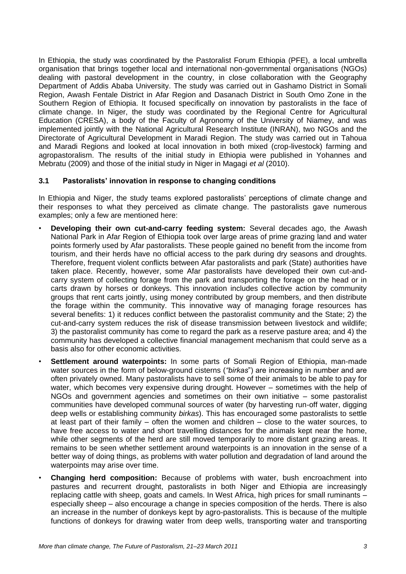In Ethiopia, the study was coordinated by the Pastoralist Forum Ethiopia (PFE), a local umbrella organisation that brings together local and international non-governmental organisations (NGOs) dealing with pastoral development in the country, in close collaboration with the Geography Department of Addis Ababa University. The study was carried out in Gashamo District in Somali Region, Awash Fentale District in Afar Region and Dasanach District in South Omo Zone in the Southern Region of Ethiopia. It focused specifically on innovation by pastoralists in the face of climate change. In Niger, the study was coordinated by the Regional Centre for Agricultural Education (CRESA), a body of the Faculty of Agronomy of the University of Niamey, and was implemented jointly with the National Agricultural Research Institute (INRAN), two NGOs and the Directorate of Agricultural Development in Maradi Region. The study was carried out in Tahoua and Maradi Regions and looked at local innovation in both mixed (crop-livestock) farming and agropastoralism. The results of the initial study in Ethiopia were published in Yohannes and Mebratu (2009) and those of the initial study in Niger in Magagi *et al* (2010).

#### **3.1 Pastoralists' innovation in response to changing conditions**

In Ethiopia and Niger, the study teams explored pastoralists' perceptions of climate change and their responses to what they perceived as climate change. The pastoralists gave numerous examples; only a few are mentioned here:

- **Developing their own cut-and-carry feeding system:** Several decades ago, the Awash National Park in Afar Region of Ethiopia took over large areas of prime grazing land and water points formerly used by Afar pastoralists. These people gained no benefit from the income from tourism, and their herds have no official access to the park during dry seasons and droughts. Therefore, frequent violent conflicts between Afar pastoralists and park (State) authorities have taken place. Recently, however, some Afar pastoralists have developed their own cut-andcarry system of collecting forage from the park and transporting the forage on the head or in carts drawn by horses or donkeys. This innovation includes collective action by community groups that rent carts jointly, using money contributed by group members, and then distribute the forage within the community. This innovative way of managing forage resources has several benefits: 1) it reduces conflict between the pastoralist community and the State; 2) the cut-and-carry system reduces the risk of disease transmission between livestock and wildlife; 3) the pastoralist community has come to regard the park as a reserve pasture area; and 4) the community has developed a collective financial management mechanism that could serve as a basis also for other economic activities.
- **Settlement around waterpoints:** In some parts of Somali Region of Ethiopia, man-made water sources in the form of below-ground cisterns (*"birkas*") are increasing in number and are often privately owned. Many pastoralists have to sell some of their animals to be able to pay for water, which becomes very expensive during drought. However – sometimes with the help of NGOs and government agencies and sometimes on their own initiative – some pastoralist communities have developed communal sources of water (by harvesting run-off water, digging deep wells or establishing community *birkas*). This has encouraged some pastoralists to settle at least part of their family – often the women and children – close to the water sources, to have free access to water and short travelling distances for the animals kept near the home, while other segments of the herd are still moved temporarily to more distant grazing areas. It remains to be seen whether settlement around waterpoints is an innovation in the sense of a better way of doing things, as problems with water pollution and degradation of land around the waterpoints may arise over time.
- **Changing herd composition:** Because of problems with water, bush encroachment into pastures and recurrent drought, pastoralists in both Niger and Ethiopia are increasingly replacing cattle with sheep, goats and camels. In West Africa, high prices for small ruminants – especially sheep – also encourage a change in species composition of the herds. There is also an increase in the number of donkeys kept by agro-pastoralists. This is because of the multiple functions of donkeys for drawing water from deep wells, transporting water and transporting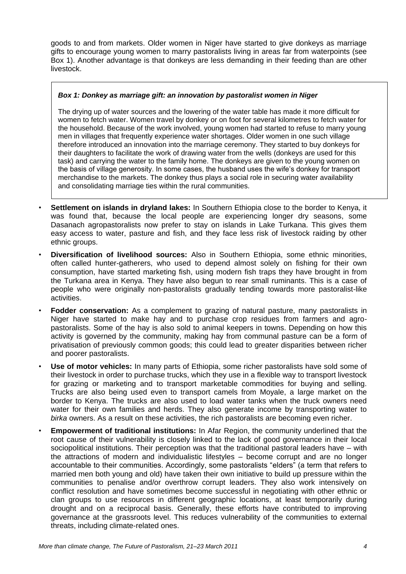goods to and from markets. Older women in Niger have started to give donkeys as marriage gifts to encourage young women to marry pastoralists living in areas far from waterpoints (see Box 1). Another advantage is that donkeys are less demanding in their feeding than are other livestock.

#### *Box 1: Donkey as marriage gift: an innovation by pastoralist women in Niger*

The drying up of water sources and the lowering of the water table has made it more difficult for women to fetch water. Women travel by donkey or on foot for several kilometres to fetch water for the household. Because of the work involved, young women had started to refuse to marry young men in villages that frequently experience water shortages. Older women in one such village therefore introduced an innovation into the marriage ceremony. They started to buy donkeys for their daughters to facilitate the work of drawing water from the wells (donkeys are used for this task) and carrying the water to the family home. The donkeys are given to the young women on the basis of village generosity. In some cases, the husband uses the wife"s donkey for transport merchandise to the markets. The donkey thus plays a social role in securing water availability and consolidating marriage ties within the rural communities.

- **Settlement on islands in dryland lakes:** In Southern Ethiopia close to the border to Kenya, it was found that, because the local people are experiencing longer dry seasons, some Dasanach agropastoralists now prefer to stay on islands in Lake Turkana. This gives them easy access to water, pasture and fish, and they face less risk of livestock raiding by other ethnic groups.
- **Diversification of livelihood sources:** Also in Southern Ethiopia, some ethnic minorities, often called hunter-gatherers, who used to depend almost solely on fishing for their own consumption, have started marketing fish, using modern fish traps they have brought in from the Turkana area in Kenya. They have also begun to rear small ruminants. This is a case of people who were originally non-pastoralists gradually tending towards more pastoralist-like activities.
- **Fodder conservation:** As a complement to grazing of natural pasture, many pastoralists in Niger have started to make hay and to purchase crop residues from farmers and agropastoralists. Some of the hay is also sold to animal keepers in towns. Depending on how this activity is governed by the community, making hay from communal pasture can be a form of privatisation of previously common goods; this could lead to greater disparities between richer and poorer pastoralists.
- **Use of motor vehicles:** In many parts of Ethiopia, some richer pastoralists have sold some of their livestock in order to purchase trucks, which they use in a flexible way to transport livestock for grazing or marketing and to transport marketable commodities for buying and selling. Trucks are also being used even to transport camels from Moyale, a large market on the border to Kenya. The trucks are also used to load water tanks when the truck owners need water for their own families and herds. They also generate income by transporting water to *birka* owners. As a result on these activities, the rich pastoralists are becoming even richer.
- **Empowerment of traditional institutions:** In Afar Region, the community underlined that the root cause of their vulnerability is closely linked to the lack of good governance in their local sociopolitical institutions. Their perception was that the traditional pastoral leaders have – with the attractions of modern and individualistic lifestyles – become corrupt and are no longer accountable to their communities. Accordingly, some pastoralists "elders" (a term that refers to married men both young and old) have taken their own initiative to build up pressure within the communities to penalise and/or overthrow corrupt leaders. They also work intensively on conflict resolution and have sometimes become successful in negotiating with other ethnic or clan groups to use resources in different geographic locations, at least temporarily during drought and on a reciprocal basis. Generally, these efforts have contributed to improving governance at the grassroots level. This reduces vulnerability of the communities to external threats, including climate-related ones.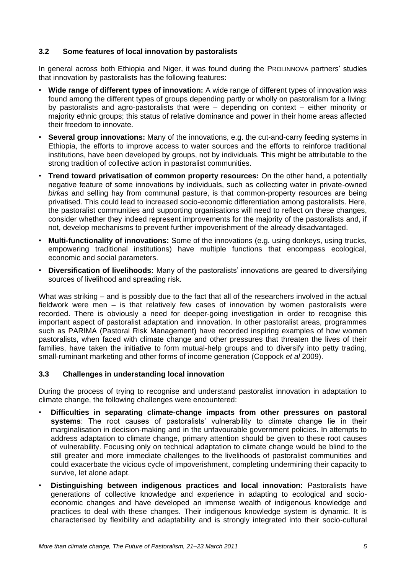#### **3.2 Some features of local innovation by pastoralists**

In general across both Ethiopia and Niger, it was found during the PROLINNOVA partners" studies that innovation by pastoralists has the following features:

- **Wide range of different types of innovation:** A wide range of different types of innovation was found among the different types of groups depending partly or wholly on pastoralism for a living: by pastoralists and agro-pastoralists that were – depending on context – either minority or majority ethnic groups; this status of relative dominance and power in their home areas affected their freedom to innovate.
- **Several group innovations:** Many of the innovations, e.g. the cut-and-carry feeding systems in Ethiopia, the efforts to improve access to water sources and the efforts to reinforce traditional institutions, have been developed by groups, not by individuals. This might be attributable to the strong tradition of collective action in pastoralist communities.
- **Trend toward privatisation of common property resources:** On the other hand, a potentially negative feature of some innovations by individuals, such as collecting water in private-owned *birkas* and selling hay from communal pasture, is that common-property resources are being privatised. This could lead to increased socio-economic differentiation among pastoralists. Here, the pastoralist communities and supporting organisations will need to reflect on these changes, consider whether they indeed represent improvements for the majority of the pastoralists and, if not, develop mechanisms to prevent further impoverishment of the already disadvantaged.
- **Multi-functionality of innovations:** Some of the innovations (e.g. using donkeys, using trucks, empowering traditional institutions) have multiple functions that encompass ecological, economic and social parameters.
- **Diversification of livelihoods:** Many of the pastoralists" innovations are geared to diversifying sources of livelihood and spreading risk.

What was striking – and is possibly due to the fact that all of the researchers involved in the actual fieldwork were men – is that relatively few cases of innovation by women pastoralists were recorded. There is obviously a need for deeper-going investigation in order to recognise this important aspect of pastoralist adaptation and innovation. In other pastoralist areas, programmes such as PARIMA (Pastoral Risk Management) have recorded inspiring examples of how women pastoralists, when faced with climate change and other pressures that threaten the lives of their families, have taken the initiative to form mutual-help groups and to diversify into petty trading, small-ruminant marketing and other forms of income generation (Coppock *et al* 2009).

#### **3.3 Challenges in understanding local innovation**

During the process of trying to recognise and understand pastoralist innovation in adaptation to climate change, the following challenges were encountered:

- **Difficulties in separating climate-change impacts from other pressures on pastoral**  systems: The root causes of pastoralists' vulnerability to climate change lie in their marginalisation in decision-making and in the unfavourable government policies. In attempts to address adaptation to climate change, primary attention should be given to these root causes of vulnerability. Focusing only on technical adaptation to climate change would be blind to the still greater and more immediate challenges to the livelihoods of pastoralist communities and could exacerbate the vicious cycle of impoverishment, completing undermining their capacity to survive, let alone adapt.
- **Distinguishing between indigenous practices and local innovation:** Pastoralists have generations of collective knowledge and experience in adapting to ecological and socioeconomic changes and have developed an immense wealth of indigenous knowledge and practices to deal with these changes. Their indigenous knowledge system is dynamic. It is characterised by flexibility and adaptability and is strongly integrated into their socio-cultural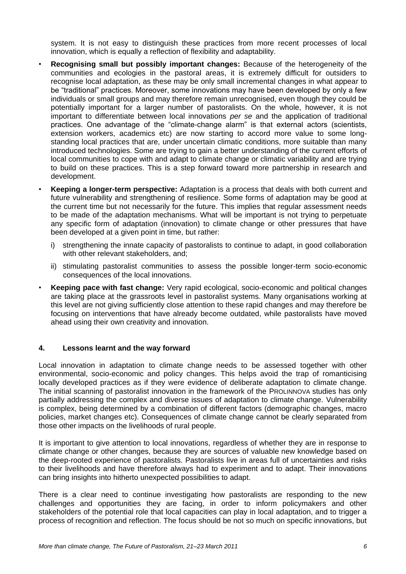system. It is not easy to distinguish these practices from more recent processes of local innovation, which is equally a reflection of flexibility and adaptability.

- **Recognising small but possibly important changes:** Because of the heterogeneity of the communities and ecologies in the pastoral areas, it is extremely difficult for outsiders to recognise local adaptation, as these may be only small incremental changes in what appear to be "traditional" practices. Moreover, some innovations may have been developed by only a few individuals or small groups and may therefore remain unrecognised, even though they could be potentially important for a larger number of pastoralists. On the whole, however, it is not important to differentiate between local innovations *per se* and the application of traditional practices. One advantage of the "climate-change alarm" is that external actors (scientists, extension workers, academics etc) are now starting to accord more value to some longstanding local practices that are, under uncertain climatic conditions, more suitable than many introduced technologies. Some are trying to gain a better understanding of the current efforts of local communities to cope with and adapt to climate change or climatic variability and are trying to build on these practices. This is a step forward toward more partnership in research and development.
- **Keeping a longer-term perspective:** Adaptation is a process that deals with both current and future vulnerability and strengthening of resilience. Some forms of adaptation may be good at the current time but not necessarily for the future. This implies that regular assessment needs to be made of the adaptation mechanisms. What will be important is not trying to perpetuate any specific form of adaptation (innovation) to climate change or other pressures that have been developed at a given point in time, but rather:
	- i) strengthening the innate capacity of pastoralists to continue to adapt, in good collaboration with other relevant stakeholders, and:
	- ii) stimulating pastoralist communities to assess the possible longer-term socio-economic consequences of the local innovations.
- **Keeping pace with fast change:** Very rapid ecological, socio-economic and political changes are taking place at the grassroots level in pastoralist systems. Many organisations working at this level are not giving sufficiently close attention to these rapid changes and may therefore be focusing on interventions that have already become outdated, while pastoralists have moved ahead using their own creativity and innovation.

#### **4. Lessons learnt and the way forward**

Local innovation in adaptation to climate change needs to be assessed together with other environmental, socio-economic and policy changes. This helps avoid the trap of romanticising locally developed practices as if they were evidence of deliberate adaptation to climate change. The initial scanning of pastoralist innovation in the framework of the PROLINNOVA studies has only partially addressing the complex and diverse issues of adaptation to climate change. Vulnerability is complex, being determined by a combination of different factors (demographic changes, macro policies, market changes etc). Consequences of climate change cannot be clearly separated from those other impacts on the livelihoods of rural people.

It is important to give attention to local innovations, regardless of whether they are in response to climate change or other changes, because they are sources of valuable new knowledge based on the deep-rooted experience of pastoralists. Pastoralists live in areas full of uncertainties and risks to their livelihoods and have therefore always had to experiment and to adapt. Their innovations can bring insights into hitherto unexpected possibilities to adapt.

There is a clear need to continue investigating how pastoralists are responding to the new challenges and opportunities they are facing, in order to inform policymakers and other stakeholders of the potential role that local capacities can play in local adaptation, and to trigger a process of recognition and reflection. The focus should be not so much on specific innovations, but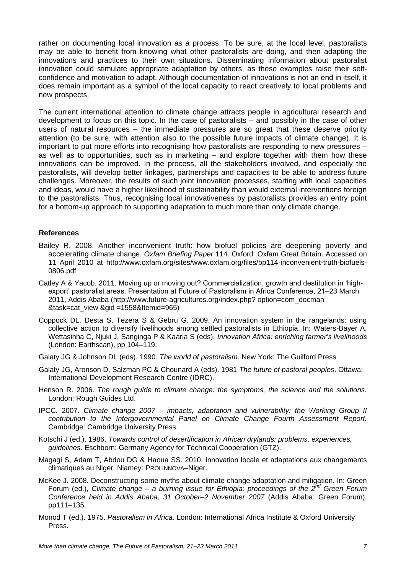rather on documenting local innovation as a process. To be sure, at the local level, pastoralists may be able to benefit from knowing what other pastoralists are doing, and then adapting the innovations and practices to their own situations. Disseminating information about pastoralist innovation could stimulate appropriate adaptation by others, as these examples raise their selfconfidence and motivation to adapt. Although documentation of innovations is not an end in itself, it does remain important as a symbol of the local capacity to react creatively to local problems and new prospects.

The current international attention to climate change attracts people in agricultural research and development to focus on this topic. In the case of pastoralists – and possibly in the case of other users of natural resources – the immediate pressures are so great that these deserve priority attention (to be sure, with attention also to the possible future impacts of climate change). It is important to put more efforts into recognising how pastoralists are responding to new pressures – as well as to opportunities, such as in marketing – and explore together with them how these innovations can be improved. In the process, all the stakeholders involved, and especially the pastoralists, will develop better linkages, partnerships and capacities to be able to address future challenges. Moreover, the results of such joint innovation processes, starting with local capacities and ideas, would have a higher likelihood of sustainability than would external interventions foreign to the pastoralists. Thus, recognising local innovativeness by pastoralists provides an entry point for a bottom-up approach to supporting adaptation to much more than only climate change.

#### **References**

- Bailey R. 2008. Another inconvenient truth: how biofuel policies are deepening poverty and accelerating climate change. *Oxfam Briefing Paper* 114. Oxford: Oxfam Great Britain. Accessed on 11 April 2010 at http://www.oxfam.org/sites/www.oxfam.org/files/bp114-inconvenient-truth-biofuels-0806.pdf
- Catley A & Yacob. 2011. Moving up or moving out? Commercialization, growth and destitution in 'highexport" pastoralist areas. Presentation at Future of Pastoralism in Africa Conference, 21–23 March 2011, Addis Ababa (http://www.future-agricultures.org/index.php? option=com\_docman &task=cat\_view &gid =1558&Itemid=965)
- Coppock DL, Desta S, Tezera S & Gebru G. 2009. An innovation system in the rangelands: using collective action to diversify livelihoods among settled pastoralists in Ethiopia. In: Waters-Bayer A, Wettasinha C, Njuki J, Sanginga P & Kaaria S (eds), *Innovation Africa: enriching farmer's livelihoods* (London: Earthscan), pp 104–119.
- Galaty JG & Johnson DL (eds). 1990. *The world of pastoralism.* New York: The Guilford Press
- Galaty JG, Aronson D, Salzman PC & Chounard A (eds). 1981 *The future of pastoral peoples*. Ottawa: International Development Research Centre (IDRC).
- Henson R. 2006. *The rough guide to climate change: the symptoms, the science and the solutions.*  London: Rough Guides Ltd.
- IPCC. 2007. *Climate change 2007 – impacts, adaptation and vulnerability: the Working Group II contribution to the Intergovernmental Panel on Climate Change Fourth Assessment Report.* Cambridge: Cambridge University Press.
- Kotschi J (ed.). 1986. *Towards control of desertification in African drylands: problems, experiences, guidelines.* Eschborn: Germany Agency for Technical Cooperation (GTZ).
- Magagi S, Adam T, Abdou DG & Haoua SS. 2010. Innovation locale et adaptations aux changements climatiques au Niger. Niamey: PROLINNOVA–Niger.
- McKee J. 2008. Deconstructing some myths about climate change adaptation and mitigation. In: Green Forum (ed.), *Climate change – a burning issue for Ethiopia: proceedings of the 2nd Green Forum Conference held in Addis Ababa, 31 October–2 November 2007* (Addis Ababa: Green Forum), pp111–135.
- Monod T (ed.). 1975. *Pastoralism in Africa.* London: International Africa Institute & Oxford University Press.